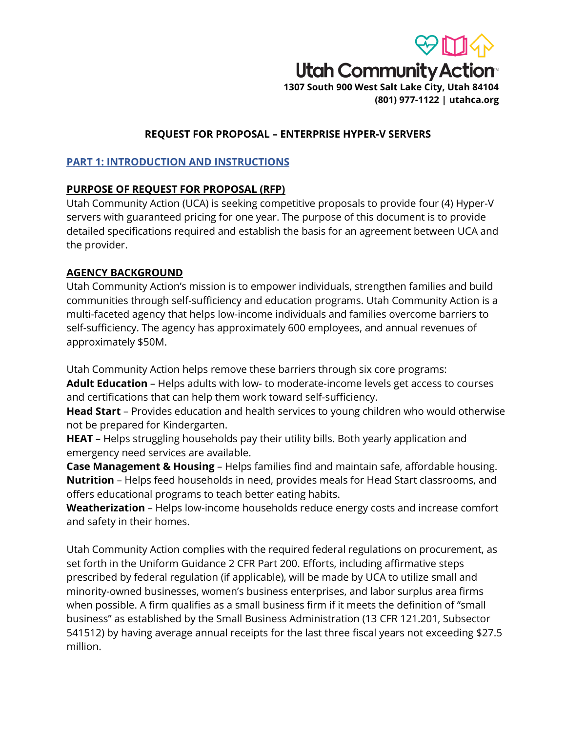

# **REQUEST FOR PROPOSAL – ENTERPRISE HYPER-V SERVERS**

## **PART 1: INTRODUCTION AND INSTRUCTIONS**

## **PURPOSE OF REQUEST FOR PROPOSAL (RFP)**

Utah Community Action (UCA) is seeking competitive proposals to provide four (4) Hyper-V servers with guaranteed pricing for one year. The purpose of this document is to provide detailed specifications required and establish the basis for an agreement between UCA and the provider.

# **AGENCY BACKGROUND**

Utah Community Action's mission is to empower individuals, strengthen families and build communities through self-sufficiency and education programs. Utah Community Action is a multi-faceted agency that helps low-income individuals and families overcome barriers to self-sufficiency. The agency has approximately 600 employees, and annual revenues of approximately \$50M.

Utah Community Action helps remove these barriers through six core programs:

**Adult Education** – Helps adults with low- to moderate-income levels get access to courses and certifications that can help them work toward self-sufficiency.

**Head Start** – Provides education and health services to young children who would otherwise not be prepared for Kindergarten.

**HEAT** – Helps struggling households pay their utility bills. Both yearly application and emergency need services are available.

**Case Management & Housing** – Helps families find and maintain safe, affordable housing. **Nutrition** – Helps feed households in need, provides meals for Head Start classrooms, and offers educational programs to teach better eating habits.

**Weatherization** – Helps low-income households reduce energy costs and increase comfort and safety in their homes.

Utah Community Action complies with the required federal regulations on procurement, as set forth in the Uniform Guidance 2 CFR Part 200. Efforts, including affirmative steps prescribed by federal regulation (if applicable), will be made by UCA to utilize small and minority-owned businesses, women's business enterprises, and labor surplus area firms when possible. A firm qualifies as a small business firm if it meets the definition of "small business" as established by the Small Business Administration (13 CFR 121.201, Subsector 541512) by having average annual receipts for the last three fiscal years not exceeding \$27.5 million.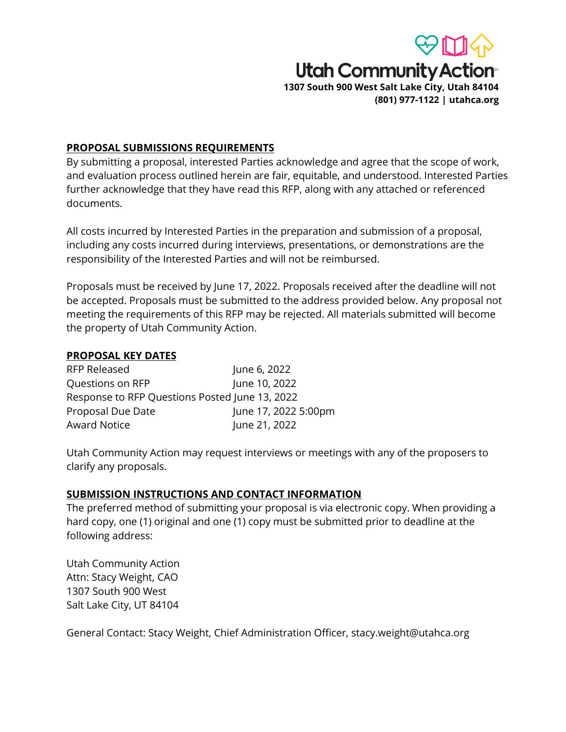

### **PROPOSAL SUBMISSIONS REQUIREMENTS**

By submitting a proposal, interested Parties acknowledge and agree that the scope of work, and evaluation process outlined herein are fair, equitable, and understood. Interested Parties further acknowledge that they have read this RFP, along with any attached or referenced documents.

All costs incurred by Interested Parties in the preparation and submission of a proposal, including any costs incurred during interviews, presentations, or demonstrations are the responsibility of the Interested Parties and will not be reimbursed.

Proposals must be received by June 17, 2022. Proposals received after the deadline will not be accepted. Proposals must be submitted to the address provided below. Any proposal not meeting the requirements of this RFP may be rejected. All materials submitted will become the property of Utah Community Action.

### **PROPOSAL KEY DATES**

| <b>RFP Released</b>                            | June 6, 2022         |
|------------------------------------------------|----------------------|
| Questions on RFP                               | June 10, 2022        |
| Response to RFP Questions Posted June 13, 2022 |                      |
| Proposal Due Date                              | June 17, 2022 5:00pm |
| <b>Award Notice</b>                            | June 21, 2022        |

Utah Community Action may request interviews or meetings with any of the proposers to clarify any proposals.

### **SUBMISSION INSTRUCTIONS AND CONTACT INFORMATION**

The preferred method of submitting your proposal is via electronic copy. When providing a hard copy, one (1) original and one (1) copy must be submitted prior to deadline at the following address:

Utah Community Action Attn: Stacy Weight, CAO 1307 South 900 West Salt Lake City, UT 84104

General Contact: Stacy Weight, Chief Administration Officer, stacy.weight@utahca.org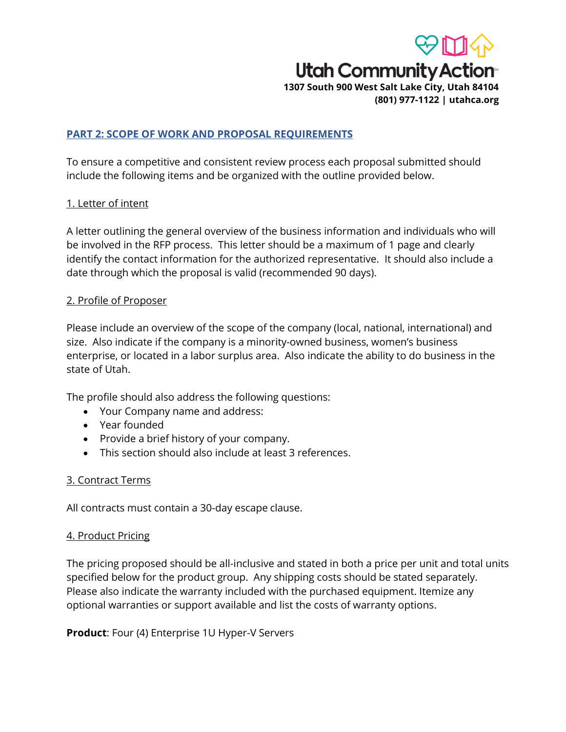

### **PART 2: SCOPE OF WORK AND PROPOSAL REQUIREMENTS**

To ensure a competitive and consistent review process each proposal submitted should include the following items and be organized with the outline provided below.

### 1. Letter of intent

A letter outlining the general overview of the business information and individuals who will be involved in the RFP process. This letter should be a maximum of 1 page and clearly identify the contact information for the authorized representative. It should also include a date through which the proposal is valid (recommended 90 days).

#### 2. Profile of Proposer

Please include an overview of the scope of the company (local, national, international) and size. Also indicate if the company is a minority-owned business, women's business enterprise, or located in a labor surplus area. Also indicate the ability to do business in the state of Utah.

The profile should also address the following questions:

- Your Company name and address:
- Year founded
- Provide a brief history of your company.
- This section should also include at least 3 references.

### 3. Contract Terms

All contracts must contain a 30-day escape clause.

### 4. Product Pricing

The pricing proposed should be all-inclusive and stated in both a price per unit and total units specified below for the product group. Any shipping costs should be stated separately. Please also indicate the warranty included with the purchased equipment. Itemize any optional warranties or support available and list the costs of warranty options.

**Product**: Four (4) Enterprise 1U Hyper-V Servers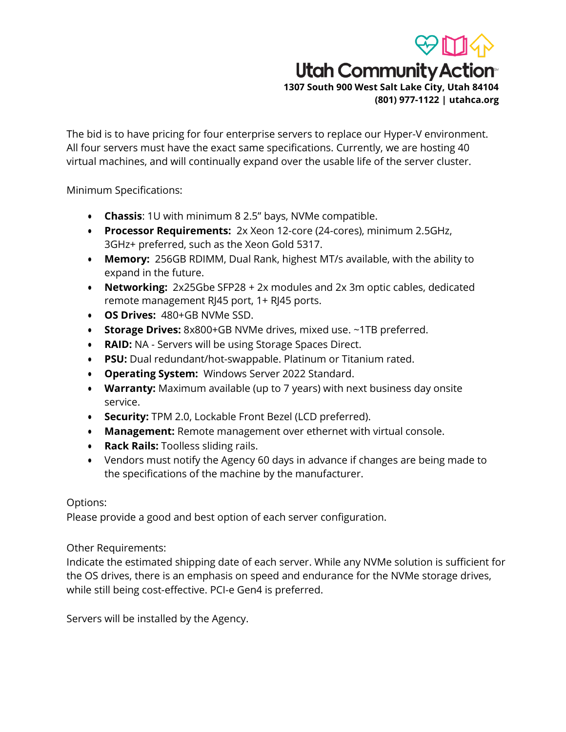

**(801) 977-1122 | utahca.org**

The bid is to have pricing for four enterprise servers to replace our Hyper-V environment. All four servers must have the exact same specifications. Currently, we are hosting 40 virtual machines, and will continually expand over the usable life of the server cluster.

Minimum Specifications:

- **Chassis**: 1U with minimum 8 2.5" bays, NVMe compatible.
- **Processor Requirements:** 2x Xeon 12-core (24-cores), minimum 2.5GHz, 3GHz+ preferred, such as the Xeon Gold 5317.
- **Memory:** 256GB RDIMM, Dual Rank, highest MT/s available, with the ability to expand in the future.
- **Networking:** 2x25Gbe SFP28 + 2x modules and 2x 3m optic cables, dedicated remote management RJ45 port, 1+ RJ45 ports.
- **OS Drives:** 480+GB NVMe SSD.
- **Storage Drives:** 8x800+GB NVMe drives, mixed use. ~1TB preferred.
- **RAID:** NA Servers will be using Storage Spaces Direct.
- **PSU:** Dual redundant/hot-swappable. Platinum or Titanium rated.
- **Operating System:** Windows Server 2022 Standard.
- **Warranty:** Maximum available (up to 7 years) with next business day onsite service.
- **Security:** TPM 2.0, Lockable Front Bezel (LCD preferred).
- **Management:** Remote management over ethernet with virtual console.
- **Rack Rails:** Toolless sliding rails.
- Vendors must notify the Agency 60 days in advance if changes are being made to the specifications of the machine by the manufacturer.

## Options:

Please provide a good and best option of each server configuration.

Other Requirements:

Indicate the estimated shipping date of each server. While any NVMe solution is sufficient for the OS drives, there is an emphasis on speed and endurance for the NVMe storage drives, while still being cost-effective. PCI-e Gen4 is preferred.

Servers will be installed by the Agency.